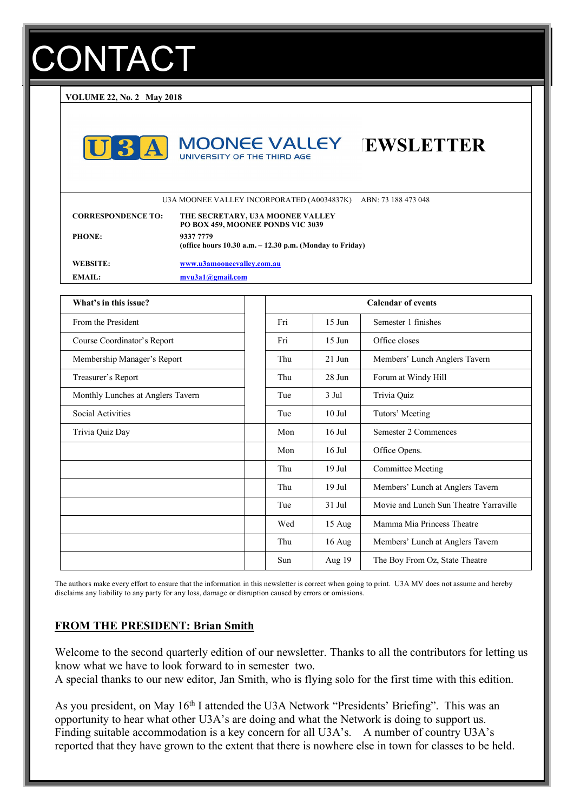# **ONTACT**

**VOLUME 22, No. 2 May 2018**





U3A MOONEE VALLEY INCORPORATED (A0034837K) ABN: 73 188 473 048

| <b>CORRESPONDENCE TO:</b> | THE SECRETARY, U3A MOONEE VALLEY<br>PO BOX 459, MOONEE PONDS VIC 3039    |
|---------------------------|--------------------------------------------------------------------------|
| <b>PHONE:</b>             | 9337 7779<br>(office hours $10.30$ a.m. $-12.30$ p.m. (Monday to Friday) |
| WEBSITE:                  | www.u3amooneevalley.com.au                                               |
| EMAIL:                    | $m$ vu3a1@gmail.com                                                      |

| What's in this issue?             | <b>Calendar of events</b> |                  |                                        |
|-----------------------------------|---------------------------|------------------|----------------------------------------|
| From the President                | Fri                       | $15$ Jun         | Semester 1 finishes                    |
| Course Coordinator's Report       | Fri                       | $15 \text{ Jun}$ | Office closes                          |
| Membership Manager's Report       | Thu                       | $21$ Jun         | Members' Lunch Anglers Tavern          |
| Treasurer's Report                | Thu                       | $28$ Jun         | Forum at Windy Hill                    |
| Monthly Lunches at Anglers Tavern | Tue                       | 3 Jul            | Trivia Quiz                            |
| Social Activities                 | Tue                       | $10$ Jul         | Tutors' Meeting                        |
| Trivia Quiz Day                   | Mon                       | $16$ Jul         | Semester 2 Commences                   |
|                                   | Mon                       | $16$ Jul         | Office Opens.                          |
|                                   | Thu                       | $19$ Jul         | <b>Committee Meeting</b>               |
|                                   | Thu                       | $19$ Jul         | Members' Lunch at Anglers Tavern       |
|                                   | Tue                       | $31$ Jul         | Movie and Lunch Sun Theatre Yarraville |
|                                   | Wed                       | 15 Aug           | Mamma Mia Princess Theatre             |
|                                   | Thu                       | $16$ Aug         | Members' Lunch at Anglers Tavern       |
|                                   | Sun                       | Aug 19           | The Boy From Oz, State Theatre         |

The authors make every effort to ensure that the information in this newsletter is correct when going to print. U3A MV does not assume and hereby disclaims any liability to any party for any loss, damage or disruption caused by errors or omissions.

### **FROM THE PRESIDENT: Brian Smith**

Welcome to the second quarterly edition of our newsletter. Thanks to all the contributors for letting us know what we have to look forward to in semester two. A special thanks to our new editor, Jan Smith, who is flying solo for the first time with this edition.

As you president, on May 16<sup>th</sup> I attended the U3A Network "Presidents' Briefing". This was an opportunity to hear what other U3A's are doing and what the Network is doing to support us. Finding suitable accommodation is a key concern for all U3A's. A number of country U3A's reported that they have grown to the extent that there is nowhere else in town for classes to be held.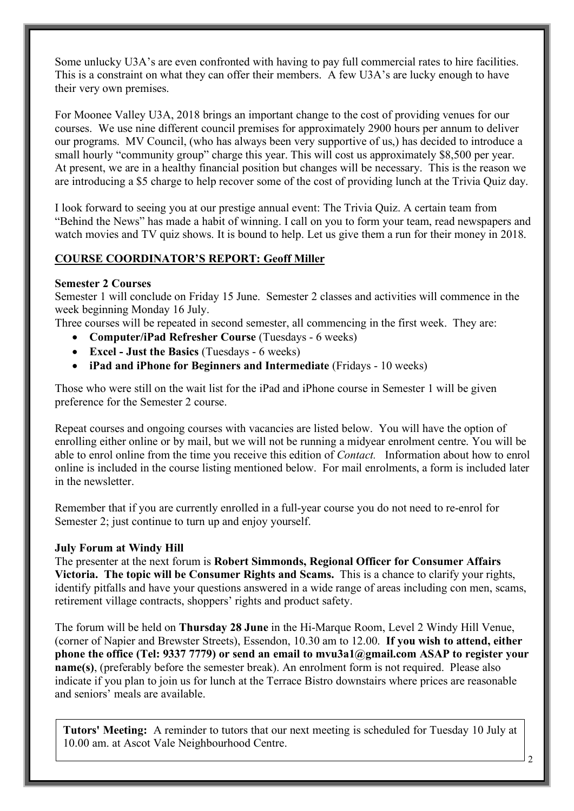Some unlucky U3A's are even confronted with having to pay full commercial rates to hire facilities. This is a constraint on what they can offer their members. A few U3A's are lucky enough to have their very own premises.

For Moonee Valley U3A, 2018 brings an important change to the cost of providing venues for our courses. We use nine different council premises for approximately 2900 hours per annum to deliver our programs. MV Council, (who has always been very supportive of us,) has decided to introduce a small hourly "community group" charge this year. This will cost us approximately \$8,500 per year. At present, we are in a healthy financial position but changes will be necessary. This is the reason we are introducing a \$5 charge to help recover some of the cost of providing lunch at the Trivia Quiz day.

I look forward to seeing you at our prestige annual event: The Trivia Quiz. A certain team from "Behind the News" has made a habit of winning. I call on you to form your team, read newspapers and watch movies and TV quiz shows. It is bound to help. Let us give them a run for their money in 2018.

### **COURSE COORDINATOR'S REPORT: Geoff Miller**

### **Semester 2 Courses**

Semester 1 will conclude on Friday 15 June. Semester 2 classes and activities will commence in the week beginning Monday 16 July.

Three courses will be repeated in second semester, all commencing in the first week. They are:

- **Computer/iPad Refresher Course** (Tuesdays 6 weeks)
- **Excel - Just the Basics** (Tuesdays 6 weeks)
- **iPad and iPhone for Beginners and Intermediate** (Fridays 10 weeks)

Those who were still on the wait list for the iPad and iPhone course in Semester 1 will be given preference for the Semester 2 course.

Repeat courses and ongoing courses with vacancies are listed below. You will have the option of enrolling either online or by mail, but we will not be running a midyear enrolment centre. You will be able to enrol online from the time you receive this edition of *Contact.* Information about how to enrol online is included in the course listing mentioned below. For mail enrolments, a form is included later in the newsletter

Remember that if you are currently enrolled in a full-year course you do not need to re-enrol for Semester 2; just continue to turn up and enjoy yourself.

### **July Forum at Windy Hill**

The presenter at the next forum is **Robert Simmonds, Regional Officer for Consumer Affairs Victoria. The topic will be Consumer Rights and Scams.** This is a chance to clarify your rights, identify pitfalls and have your questions answered in a wide range of areas including con men, scams, retirement village contracts, shoppers' rights and product safety.

The forum will be held on **Thursday 28 June** in the Hi-Marque Room, Level 2 Windy Hill Venue, (corner of Napier and Brewster Streets), Essendon, 10.30 am to 12.00. **If you wish to attend, either phone the office (Tel: 9337 7779) or send an email to mvu3a1@gmail.com ASAP to register your name(s)**, (preferably before the semester break). An enrolment form is not required. Please also indicate if you plan to join us for lunch at the Terrace Bistro downstairs where prices are reasonable and seniors' meals are available.

**Tutors' Meeting:** A reminder to tutors that our next meeting is scheduled for Tuesday 10 July at 10.00 am. at Ascot Vale Neighbourhood Centre.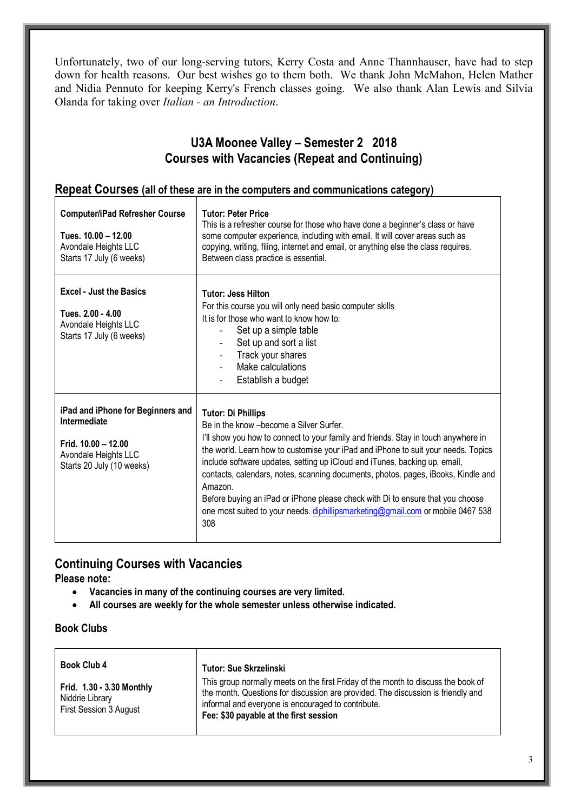Unfortunately, two of our long-serving tutors, Kerry Costa and Anne Thannhauser, have had to step down for health reasons. Our best wishes go to them both. We thank John McMahon, Helen Mather and Nidia Pennuto for keeping Kerry's French classes going. We also thank Alan Lewis and Silvia Olanda for taking over *Italian - an Introduction*.

### **U3A Moonee Valley – Semester 2 2018 Courses with Vacancies (Repeat and Continuing)**

### **Repeat Courses (all of these are in the computers and communications category)**

| <b>Computer/iPad Refresher Course</b><br>Tues. 10.00 - 12.00<br>Avondale Heights LLC<br>Starts 17 July (6 weeks)                | <b>Tutor: Peter Price</b><br>This is a refresher course for those who have done a beginner's class or have<br>some computer experience, including with email. It will cover areas such as<br>copying, writing, filing, internet and email, or anything else the class requires.<br>Between class practice is essential.                                                                                                                                                                                                                                                                                    |
|---------------------------------------------------------------------------------------------------------------------------------|------------------------------------------------------------------------------------------------------------------------------------------------------------------------------------------------------------------------------------------------------------------------------------------------------------------------------------------------------------------------------------------------------------------------------------------------------------------------------------------------------------------------------------------------------------------------------------------------------------|
| <b>Excel - Just the Basics</b><br>Tues. 2.00 - 4.00<br>Avondale Heights LLC<br>Starts 17 July (6 weeks)                         | <b>Tutor: Jess Hilton</b><br>For this course you will only need basic computer skills<br>It is for those who want to know how to:<br>Set up a simple table<br>Set up and sort a list<br>Track your shares<br>Make calculations<br>Establish a budget                                                                                                                                                                                                                                                                                                                                                       |
| iPad and iPhone for Beginners and<br>Intermediate<br>Frid. $10.00 - 12.00$<br>Avondale Heights LLC<br>Starts 20 July (10 weeks) | <b>Tutor: Di Phillips</b><br>Be in the know - become a Silver Surfer.<br>I'll show you how to connect to your family and friends. Stay in touch anywhere in<br>the world. Learn how to customise your iPad and iPhone to suit your needs. Topics<br>include software updates, setting up iCloud and iTunes, backing up, email,<br>contacts, calendars, notes, scanning documents, photos, pages, iBooks, Kindle and<br>Amazon.<br>Before buying an iPad or iPhone please check with Di to ensure that you choose<br>one most suited to your needs. diphillipsmarketing@gmail.com or mobile 0467 538<br>308 |

### **Continuing Courses with Vacancies**

**Please note:** 

- **Vacancies in many of the continuing courses are very limited.**
- **All courses are weekly for the whole semester unless otherwise indicated.**

### **Book Clubs**

| <b>Book Club 4</b>                                                     | <b>Tutor: Sue Skrzelinski</b>                                                                                                                                                                                                                                         |
|------------------------------------------------------------------------|-----------------------------------------------------------------------------------------------------------------------------------------------------------------------------------------------------------------------------------------------------------------------|
| Frid. 1.30 - 3.30 Monthly<br>Niddrie Library<br>First Session 3 August | This group normally meets on the first Friday of the month to discuss the book of<br>the month. Questions for discussion are provided. The discussion is friendly and<br>informal and everyone is encouraged to contribute.<br>Fee: \$30 payable at the first session |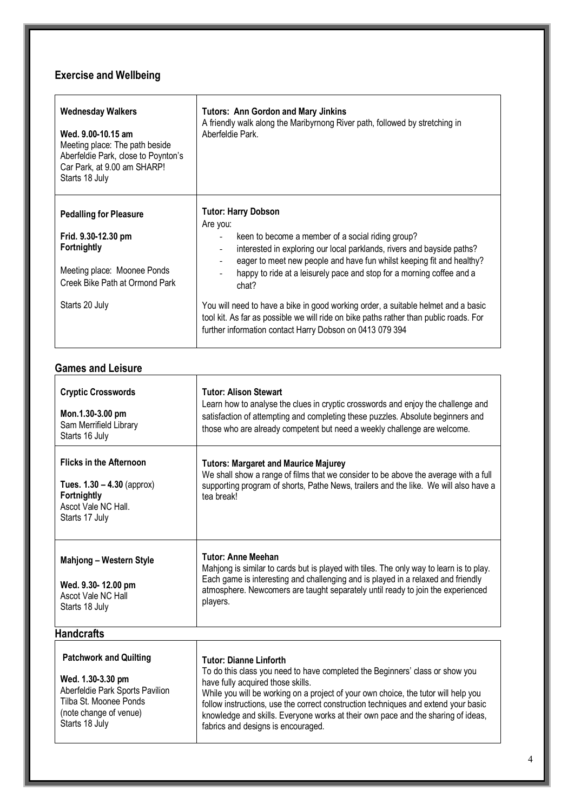### **Exercise and Wellbeing**

.

| <b>Wednesday Walkers</b><br>Wed. 9.00-10.15 am<br>Meeting place: The path beside<br>Aberfeldie Park, close to Poynton's<br>Car Park, at 9.00 am SHARP!<br>Starts 18 July | <b>Tutors: Ann Gordon and Mary Jinkins</b><br>A friendly walk along the Maribyrnong River path, followed by stretching in<br>Aberfeldie Park.                                                                                                  |
|--------------------------------------------------------------------------------------------------------------------------------------------------------------------------|------------------------------------------------------------------------------------------------------------------------------------------------------------------------------------------------------------------------------------------------|
| <b>Pedalling for Pleasure</b><br>Frid. 9.30-12.30 pm<br>Fortnightly                                                                                                      | <b>Tutor: Harry Dobson</b><br>Are you:<br>keen to become a member of a social riding group?<br>interested in exploring our local parklands, rivers and bayside paths?<br>eager to meet new people and have fun whilst keeping fit and healthy? |
| Meeting place: Moonee Ponds<br>Creek Bike Path at Ormond Park                                                                                                            | happy to ride at a leisurely pace and stop for a morning coffee and a<br>chat?                                                                                                                                                                 |
| Starts 20 July                                                                                                                                                           | You will need to have a bike in good working order, a suitable helmet and a basic<br>tool kit. As far as possible we will ride on bike paths rather than public roads. For<br>further information contact Harry Dobson on 0413 079 394         |

### **Games and Leisure**

 $\top$ 

| <b>Cryptic Crosswords</b><br>Mon.1.30-3.00 pm<br>Sam Merrifield Library<br>Starts 16 July                                                                   | <b>Tutor: Alison Stewart</b><br>Learn how to analyse the clues in cryptic crosswords and enjoy the challenge and<br>satisfaction of attempting and completing these puzzles. Absolute beginners and<br>those who are already competent but need a weekly challenge are welcome.                                                                                                                                                                          |
|-------------------------------------------------------------------------------------------------------------------------------------------------------------|----------------------------------------------------------------------------------------------------------------------------------------------------------------------------------------------------------------------------------------------------------------------------------------------------------------------------------------------------------------------------------------------------------------------------------------------------------|
| <b>Flicks in the Afternoon</b><br>Tues. $1.30 - 4.30$ (approx)<br>Fortnightly<br>Ascot Vale NC Hall.<br>Starts 17 July                                      | <b>Tutors: Margaret and Maurice Majurey</b><br>We shall show a range of films that we consider to be above the average with a full<br>supporting program of shorts, Pathe News, trailers and the like. We will also have a<br>tea break!                                                                                                                                                                                                                 |
| <b>Mahjong - Western Style</b><br>Wed. 9.30-12.00 pm<br>Ascot Vale NC Hall<br>Starts 18 July                                                                | <b>Tutor: Anne Meehan</b><br>Mahjong is similar to cards but is played with tiles. The only way to learn is to play.<br>Each game is interesting and challenging and is played in a relaxed and friendly<br>atmosphere. Newcomers are taught separately until ready to join the experienced<br>players.                                                                                                                                                  |
| <b>Handcrafts</b>                                                                                                                                           |                                                                                                                                                                                                                                                                                                                                                                                                                                                          |
| <b>Patchwork and Quilting</b><br>Wed. 1.30-3.30 pm<br>Aberfeldie Park Sports Pavilion<br>Tilba St. Moonee Ponds<br>(note change of venue)<br>Starts 18 July | <b>Tutor: Dianne Linforth</b><br>To do this class you need to have completed the Beginners' class or show you<br>have fully acquired those skills.<br>While you will be working on a project of your own choice, the tutor will help you<br>follow instructions, use the correct construction techniques and extend your basic<br>knowledge and skills. Everyone works at their own pace and the sharing of ideas,<br>fabrics and designs is encouraged. |

٦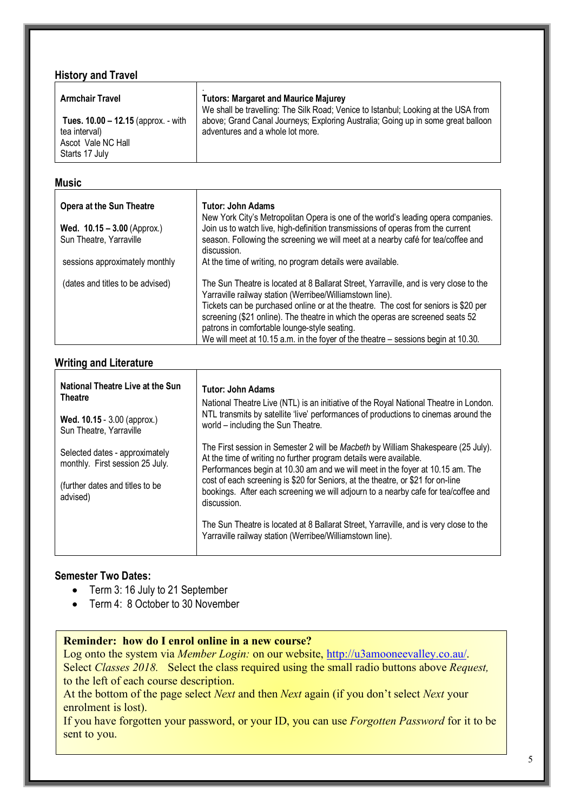| <b>History and Travel</b>                                                                    |                                                                                                                                   |  |  |
|----------------------------------------------------------------------------------------------|-----------------------------------------------------------------------------------------------------------------------------------|--|--|
| <b>Armchair Travel</b>                                                                       | <b>Tutors: Margaret and Maurice Majurey</b><br>We shall be travelling: The Silk Road; Venice to Istanbul; Looking at the USA from |  |  |
| Tues. 10.00 - 12.15 (approx. - with<br>tea interval)<br>Ascot Vale NC Hall<br>Starts 17 July | above; Grand Canal Journeys; Exploring Australia; Going up in some great balloon<br>adventures and a whole lot more.              |  |  |

### **Music**

| <b>Opera at the Sun Theatre</b>                                            | Tutor: John Adams<br>New York City's Metropolitan Opera is one of the world's leading opera companies.                                                                                                                                                                                                                                                                                                                                                          |
|----------------------------------------------------------------------------|-----------------------------------------------------------------------------------------------------------------------------------------------------------------------------------------------------------------------------------------------------------------------------------------------------------------------------------------------------------------------------------------------------------------------------------------------------------------|
| <b>Wed. <math>10.15 - 3.00</math></b> (Approx.)<br>Sun Theatre, Yarraville | Join us to watch live, high-definition transmissions of operas from the current<br>season. Following the screening we will meet at a nearby café for tea/coffee and<br>discussion.                                                                                                                                                                                                                                                                              |
| sessions approximately monthly                                             | At the time of writing, no program details were available.                                                                                                                                                                                                                                                                                                                                                                                                      |
| (dates and titles to be advised)                                           | The Sun Theatre is located at 8 Ballarat Street, Yarraville, and is very close to the<br>Yarraville railway station (Werribee/Williamstown line).<br>Tickets can be purchased online or at the theatre. The cost for seniors is \$20 per<br>screening (\$21 online). The theatre in which the operas are screened seats 52<br>patrons in comfortable lounge-style seating.<br>We will meet at 10.15 a.m. in the foyer of the theatre – sessions begin at 10.30. |

### **Writing and Literature**

| National Theatre Live at the Sun                                                                                 | Tutor: John Adams                                                                                                                                                                                                                                                                                                                                                                                                               |
|------------------------------------------------------------------------------------------------------------------|---------------------------------------------------------------------------------------------------------------------------------------------------------------------------------------------------------------------------------------------------------------------------------------------------------------------------------------------------------------------------------------------------------------------------------|
| <b>Theatre</b>                                                                                                   | National Theatre Live (NTL) is an initiative of the Royal National Theatre in London.                                                                                                                                                                                                                                                                                                                                           |
| Wed. 10.15 - 3.00 (approx.)                                                                                      | NTL transmits by satellite 'live' performances of productions to cinemas around the                                                                                                                                                                                                                                                                                                                                             |
| Sun Theatre, Yarraville                                                                                          | world – including the Sun Theatre.                                                                                                                                                                                                                                                                                                                                                                                              |
| Selected dates - approximately<br>monthly. First session 25 July.<br>(further dates and titles to be<br>advised) | The First session in Semester 2 will be Macbeth by William Shakespeare (25 July).<br>At the time of writing no further program details were available.<br>Performances begin at 10.30 am and we will meet in the foyer at 10.15 am. The<br>cost of each screening is \$20 for Seniors, at the theatre, or \$21 for on-line<br>bookings. After each screening we will adjourn to a nearby cafe for tea/coffee and<br>discussion. |
|                                                                                                                  | The Sun Theatre is located at 8 Ballarat Street, Yarraville, and is very close to the<br>Yarraville railway station (Werribee/Williamstown line).                                                                                                                                                                                                                                                                               |

### **Semester Two Dates:**

- Term 3: 16 July to 21 September
- Term 4: 8 October to 30 November

### **Reminder: how do I enrol online in a new course?**

Log onto the system via *Member Login:* on our website, http://u3amooneevalley.co.au/. Select *Classes 2018.* Select the class required using the small radio buttons above *Request,*  to the left of each course description.

At the bottom of the page select *Next* and then *Next* again (if you don't select *Next* your enrolment is lost).

If you have forgotten your password, or your ID, you can use *Forgotten Password* for it to be sent to you.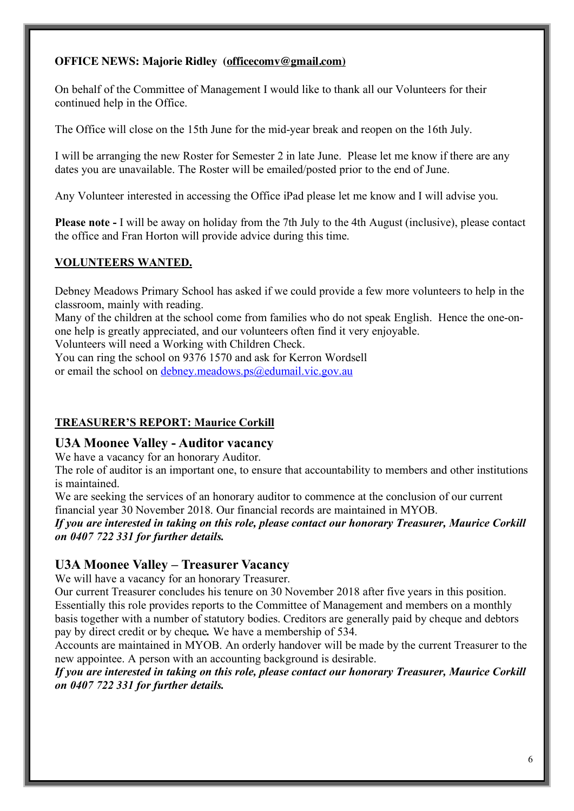### **OFFICE NEWS: Majorie Ridley (officecomv@gmail.com)**

On behalf of the Committee of Management I would like to thank all our Volunteers for their continued help in the Office.

The Office will close on the 15th June for the mid-year break and reopen on the 16th July.

I will be arranging the new Roster for Semester 2 in late June. Please let me know if there are any dates you are unavailable. The Roster will be emailed/posted prior to the end of June.

Any Volunteer interested in accessing the Office iPad please let me know and I will advise you.

**Please note -** I will be away on holiday from the 7th July to the 4th August (inclusive), please contact the office and Fran Horton will provide advice during this time.

### **VOLUNTEERS WANTED.**

Debney Meadows Primary School has asked if we could provide a few more volunteers to help in the classroom, mainly with reading.

Many of the children at the school come from families who do not speak English. Hence the one-onone help is greatly appreciated, and our volunteers often find it very enjoyable.

Volunteers will need a Working with Children Check.

You can ring the school on 9376 1570 and ask for Kerron Wordsell

or email the school on debney.meadows.ps@edumail.vic.gov.au

### **TREASURER'S REPORT: Maurice Corkill**

### **U3A Moonee Valley - Auditor vacancy**

We have a vacancy for an honorary Auditor.

The role of auditor is an important one, to ensure that accountability to members and other institutions is maintained.

We are seeking the services of an honorary auditor to commence at the conclusion of our current financial year 30 November 2018. Our financial records are maintained in MYOB.

*If you are interested in taking on this role, please contact our honorary Treasurer, Maurice Corkill on 0407 722 331 for further details.*

### **U3A Moonee Valley – Treasurer Vacancy**

We will have a vacancy for an honorary Treasurer.

Our current Treasurer concludes his tenure on 30 November 2018 after five years in this position. Essentially this role provides reports to the Committee of Management and members on a monthly basis together with a number of statutory bodies. Creditors are generally paid by cheque and debtors pay by direct credit or by cheque*.* We have a membership of 534.

Accounts are maintained in MYOB. An orderly handover will be made by the current Treasurer to the new appointee. A person with an accounting background is desirable.

*If you are interested in taking on this role, please contact our honorary Treasurer, Maurice Corkill on 0407 722 331 for further details.*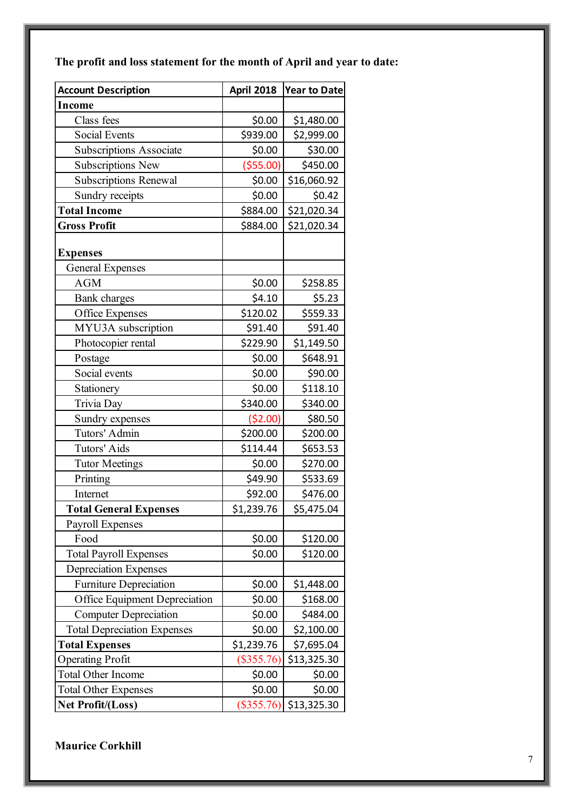**The profit and loss statement for the month of April and year to date:**

| <b>Account Description</b>         | <b>April 2018</b> | <b>Year to Date</b> |
|------------------------------------|-------------------|---------------------|
| <b>Income</b>                      |                   |                     |
| Class fees                         | \$0.00            | \$1,480.00          |
| <b>Social Events</b>               | \$939.00          | \$2,999.00          |
| <b>Subscriptions Associate</b>     | \$0.00            | \$30.00             |
| <b>Subscriptions New</b>           | ( \$55.00)        | \$450.00            |
| <b>Subscriptions Renewal</b>       | \$0.00            | \$16,060.92         |
| Sundry receipts                    | \$0.00            | \$0.42              |
| <b>Total Income</b>                | \$884.00          | \$21,020.34         |
| <b>Gross Profit</b>                | \$884.00          | \$21,020.34         |
|                                    |                   |                     |
| <b>Expenses</b>                    |                   |                     |
| <b>General Expenses</b>            |                   |                     |
| <b>AGM</b>                         | \$0.00            | \$258.85            |
| <b>Bank</b> charges                | \$4.10            | \$5.23              |
| Office Expenses                    | \$120.02          | \$559.33            |
| MYU3A subscription                 | \$91.40           | \$91.40             |
| Photocopier rental                 | \$229.90          | \$1,149.50          |
| Postage                            | \$0.00            | \$648.91            |
| Social events                      | \$0.00            | \$90.00             |
| Stationery                         | \$0.00            | \$118.10            |
| Trivia Day                         | \$340.00          | \$340.00            |
| Sundry expenses                    | (52.00)           | \$80.50             |
| Tutors' Admin                      | \$200.00          | \$200.00            |
| Tutors' Aids                       | \$114.44          | \$653.53            |
| <b>Tutor Meetings</b>              | \$0.00            | \$270.00            |
| Printing                           | \$49.90           | \$533.69            |
| Internet                           | \$92.00           | \$476.00            |
| <b>Total General Expenses</b>      | \$1,239.76        | \$5,475.04          |
| <b>Payroll Expenses</b>            |                   |                     |
| Food                               | \$0.00            | \$120.00            |
| <b>Total Payroll Expenses</b>      | \$0.00            | \$120.00            |
| <b>Depreciation Expenses</b>       |                   |                     |
| <b>Furniture Depreciation</b>      | \$0.00            | \$1,448.00          |
| Office Equipment Depreciation      | \$0.00            | \$168.00            |
| <b>Computer Depreciation</b>       | \$0.00            | \$484.00            |
| <b>Total Depreciation Expenses</b> | \$0.00            | \$2,100.00          |
| <b>Total Expenses</b>              | \$1,239.76        | \$7,695.04          |
| <b>Operating Profit</b>            | $(\$355.76)$      | \$13,325.30         |
| <b>Total Other Income</b>          | \$0.00            | \$0.00              |
| <b>Total Other Expenses</b>        | \$0.00            | \$0.00              |
| Net Profit/(Loss)                  | $(\$355.76)$      | \$13,325.30         |

**Maurice Corkhill**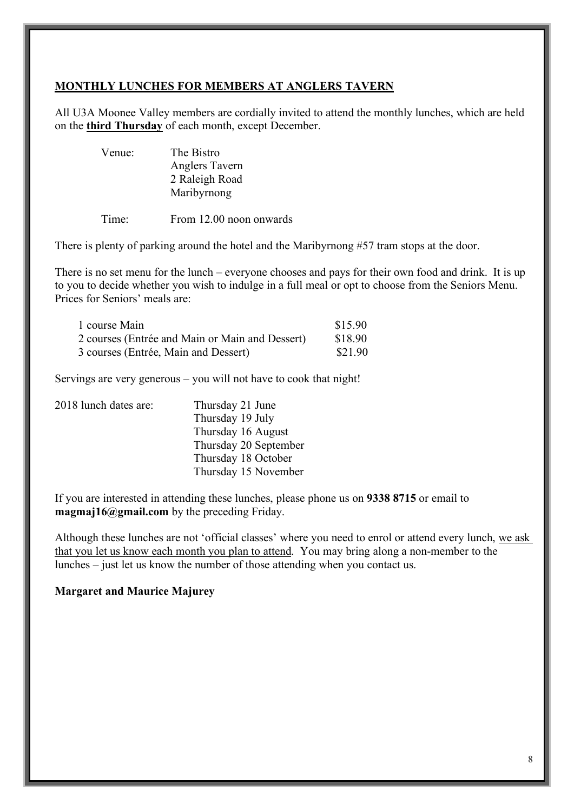### **MONTHLY LUNCHES FOR MEMBERS AT ANGLERS TAVERN**

All U3A Moonee Valley members are cordially invited to attend the monthly lunches, which are held on the **third Thursday** of each month, except December.

| Venue: | The Bistro     |
|--------|----------------|
|        | Anglers Tavern |
|        | 2 Raleigh Road |
|        | Maribyrnong    |
|        |                |

Time: From 12.00 noon onwards

There is plenty of parking around the hotel and the Maribyrnong #57 tram stops at the door.

There is no set menu for the lunch – everyone chooses and pays for their own food and drink. It is up to you to decide whether you wish to indulge in a full meal or opt to choose from the Seniors Menu. Prices for Seniors' meals are:

| 1 course Main                                   | \$15.90 |
|-------------------------------------------------|---------|
| 2 courses (Entrée and Main or Main and Dessert) | \$18.90 |
| 3 courses (Entrée, Main and Dessert)            | \$21.90 |

Servings are very generous – you will not have to cook that night!

| Thursday 21 June      |
|-----------------------|
| Thursday 19 July      |
| Thursday 16 August    |
| Thursday 20 September |
| Thursday 18 October   |
| Thursday 15 November  |
|                       |

If you are interested in attending these lunches, please phone us on **9338 8715** or email to **magmaj16@gmail.com** by the preceding Friday.

Although these lunches are not 'official classes' where you need to enrol or attend every lunch, we ask that you let us know each month you plan to attend. You may bring along a non-member to the lunches – just let us know the number of those attending when you contact us.

### **Margaret and Maurice Majurey**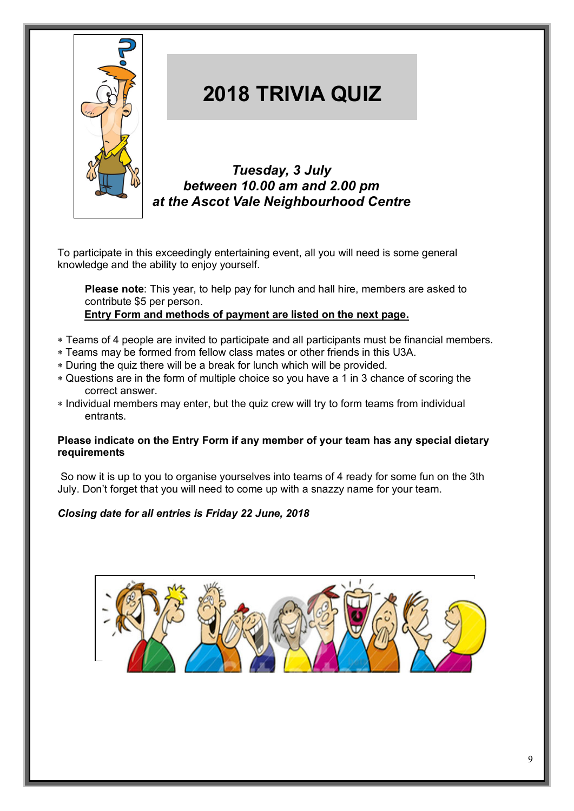

## **2018 TRIVIA QUIZ**

*Tuesday, 3 July between 10.00 am and 2.00 pm at the Ascot Vale Neighbourhood Centre*

To participate in this exceedingly entertaining event, all you will need is some general knowledge and the ability to enjoy yourself.

**Please note**: This year, to help pay for lunch and hall hire, members are asked to contribute \$5 per person.

**Entry Form and methods of payment are listed on the next page.**

- \* Teams of 4 people are invited to participate and all participants must be financial members.
- \* Teams may be formed from fellow class mates or other friends in this U3A.
- \* During the quiz there will be a break for lunch which will be provided.
- \* Questions are in the form of multiple choice so you have a 1 in 3 chance of scoring the correct answer.
- \* Individual members may enter, but the quiz crew will try to form teams from individual entrants.

### **Please indicate on the Entry Form if any member of your team has any special dietary requirements**

So now it is up to you to organise yourselves into teams of 4 ready for some fun on the 3th July. Don't forget that you will need to come up with a snazzy name for your team.

### *Closing date for all entries is Friday 22 June, 2018*

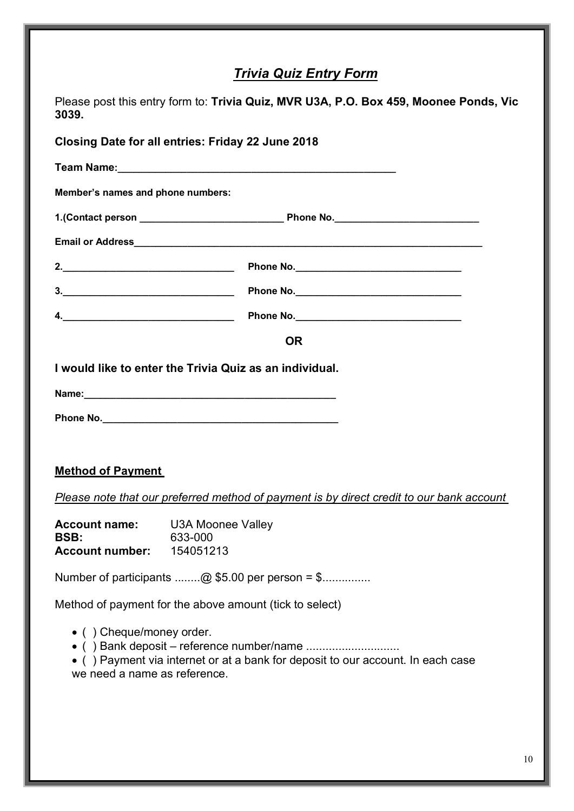### *Trivia Quiz Entry Form*

| Please post this entry form to: Trivia Quiz, MVR U3A, P.O. Box 459, Moonee Ponds, Vic<br>3039.                                                                                                                                                                                                                                           |                                                                                          |  |  |  |
|------------------------------------------------------------------------------------------------------------------------------------------------------------------------------------------------------------------------------------------------------------------------------------------------------------------------------------------|------------------------------------------------------------------------------------------|--|--|--|
|                                                                                                                                                                                                                                                                                                                                          | <b>Closing Date for all entries: Friday 22 June 2018</b>                                 |  |  |  |
|                                                                                                                                                                                                                                                                                                                                          |                                                                                          |  |  |  |
| Member's names and phone numbers:                                                                                                                                                                                                                                                                                                        |                                                                                          |  |  |  |
|                                                                                                                                                                                                                                                                                                                                          |                                                                                          |  |  |  |
|                                                                                                                                                                                                                                                                                                                                          |                                                                                          |  |  |  |
| 2. $\overline{\phantom{a} \phantom{a} \phantom{a}}$                                                                                                                                                                                                                                                                                      |                                                                                          |  |  |  |
| 3.                                                                                                                                                                                                                                                                                                                                       |                                                                                          |  |  |  |
| $\overline{a}$ . $\overline{a}$ and $\overline{a}$ and $\overline{a}$ and $\overline{a}$ and $\overline{a}$ and $\overline{a}$ and $\overline{a}$ and $\overline{a}$ and $\overline{a}$ and $\overline{a}$ and $\overline{a}$ and $\overline{a}$ and $\overline{a}$ and $\overline{a}$ and $\overline{a}$ and $\overline{a}$ and $\over$ |                                                                                          |  |  |  |
|                                                                                                                                                                                                                                                                                                                                          | <b>OR</b>                                                                                |  |  |  |
|                                                                                                                                                                                                                                                                                                                                          | I would like to enter the Trivia Quiz as an individual.                                  |  |  |  |
|                                                                                                                                                                                                                                                                                                                                          |                                                                                          |  |  |  |
|                                                                                                                                                                                                                                                                                                                                          |                                                                                          |  |  |  |
|                                                                                                                                                                                                                                                                                                                                          |                                                                                          |  |  |  |
| <b>Method of Payment</b>                                                                                                                                                                                                                                                                                                                 |                                                                                          |  |  |  |
|                                                                                                                                                                                                                                                                                                                                          | Please note that our preferred method of payment is by direct credit to our bank account |  |  |  |
| <b>Account name:</b>                                                                                                                                                                                                                                                                                                                     |                                                                                          |  |  |  |
| <b>BSB:</b>                                                                                                                                                                                                                                                                                                                              | <b>U3A Moonee Valley</b><br>633-000                                                      |  |  |  |
| <b>Account number:</b>                                                                                                                                                                                                                                                                                                                   | 154051213                                                                                |  |  |  |
|                                                                                                                                                                                                                                                                                                                                          | Number of participants @ \$5.00 per person = \$                                          |  |  |  |
|                                                                                                                                                                                                                                                                                                                                          | Method of payment for the above amount (tick to select)                                  |  |  |  |
| • () Cheque/money order.<br>we need a name as reference.                                                                                                                                                                                                                                                                                 | • () Payment via internet or at a bank for deposit to our account. In each case          |  |  |  |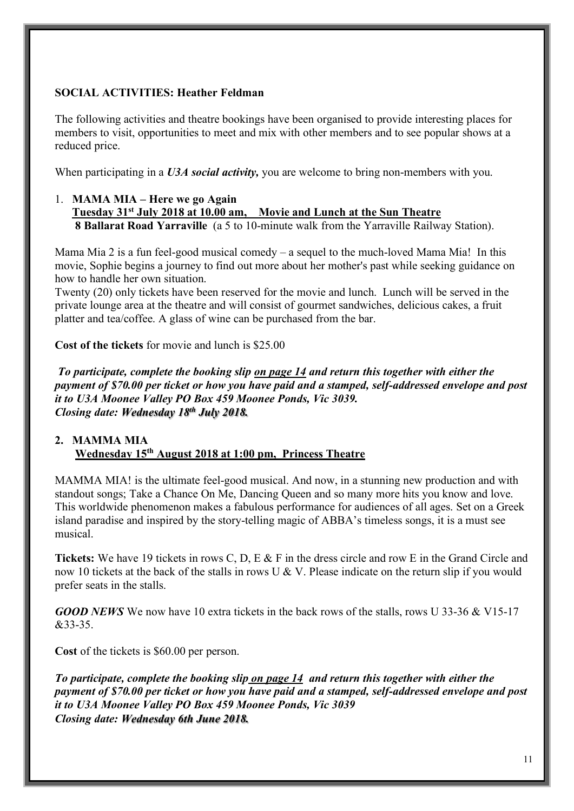### **SOCIAL ACTIVITIES: Heather Feldman**

The following activities and theatre bookings have been organised to provide interesting places for members to visit, opportunities to meet and mix with other members and to see popular shows at a reduced price.

When participating in a *U3A social activity*, you are welcome to bring non-members with you.

### 1. **MAMA MIA – Here we go Again Tuesday 31st July 2018 at 10.00 am, Movie and Lunch at the Sun Theatre 8 Ballarat Road Yarraville** (a 5 to 10-minute walk from the Yarraville Railway Station).

Mama Mia 2 is a fun feel-good musical comedy – a sequel to the much-loved Mama Mia! In this movie, Sophie begins a journey to find out more about her mother's past while seeking guidance on how to handle her own situation.

Twenty (20) only tickets have been reserved for the movie and lunch. Lunch will be served in the private lounge area at the theatre and will consist of gourmet sandwiches, delicious cakes, a fruit platter and tea/coffee. A glass of wine can be purchased from the bar.

**Cost of the tickets** for movie and lunch is \$25.00

*To participate, complete the booking slip on page 14 and return this together with either the payment of \$70.00 per ticket or how you have paid and a stamped, self-addressed envelope and post it to U3A Moonee Valley PO Box 459 Moonee Ponds, Vic 3039. Closing date: Wednesday 18th July 2018.* 

### **2. MAMMA MIA Wednesday 15th August 2018 at 1:00 pm, Princess Theatre**

MAMMA MIA! is the ultimate feel-good musical. And now, in a stunning new production and with standout songs; Take a Chance On Me, Dancing Queen and so many more hits you know and love. This worldwide phenomenon makes a fabulous performance for audiences of all ages. Set on a Greek island paradise and inspired by the story-telling magic of ABBA's timeless songs, it is a must see musical.

**Tickets:** We have 19 tickets in rows C, D, E & F in the dress circle and row E in the Grand Circle and now 10 tickets at the back of the stalls in rows U & V. Please indicate on the return slip if you would prefer seats in the stalls.

*GOOD NEWS* We now have 10 extra tickets in the back rows of the stalls, rows U 33-36 & V15-17 &33-35.

**Cost** of the tickets is \$60.00 per person.

*To participate, complete the booking slip on page 14 and return this together with either the payment of \$70.00 per ticket or how you have paid and a stamped, self-addressed envelope and post it to U3A Moonee Valley PO Box 459 Moonee Ponds, Vic 3039 Closing date: Wednesday 6th June 2018.*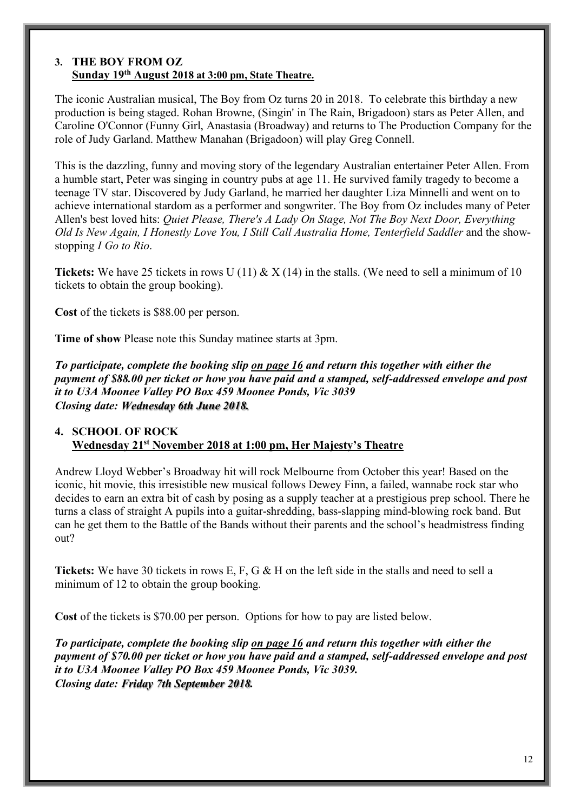### **3. THE BOY FROM OZ Sunday 19th August 2018 at 3:00 pm, State Theatre.**

The iconic Australian musical, The Boy from Oz turns 20 in 2018. To celebrate this birthday a new production is being staged. Rohan Browne, (Singin' in The Rain, Brigadoon) stars as Peter Allen, and Caroline O'Connor (Funny Girl, Anastasia (Broadway) and returns to The Production Company for the role of Judy Garland. Matthew Manahan (Brigadoon) will play Greg Connell.

This is the dazzling, funny and moving story of the legendary Australian entertainer Peter Allen. From a humble start, Peter was singing in country pubs at age 11. He survived family tragedy to become a teenage TV star. Discovered by Judy Garland, he married her daughter Liza Minnelli and went on to achieve international stardom as a performer and songwriter. The Boy from Oz includes many of Peter Allen's best loved hits: *Quiet Please, There's A Lady On Stage, Not The Boy Next Door, Everything Old Is New Again, I Honestly Love You, I Still Call Australia Home, Tenterfield Saddler* and the showstopping *I Go to Rio*.

**Tickets:** We have 25 tickets in rows U (11)  $\& X$  (14) in the stalls. (We need to sell a minimum of 10 tickets to obtain the group booking).

**Cost** of the tickets is \$88.00 per person.

**Time of show** Please note this Sunday matinee starts at 3pm.

*To participate, complete the booking slip on page 16 and return this together with either the payment of \$88.00 per ticket or how you have paid and a stamped, self-addressed envelope and post it to U3A Moonee Valley PO Box 459 Moonee Ponds, Vic 3039 Closing date: Wednesday 6th June 2018.*

### **4. SCHOOL OF ROCK Wednesday 21st November 2018 at 1:00 pm, Her Majesty's Theatre**

Andrew Lloyd Webber's Broadway hit will rock Melbourne from October this year! Based on the iconic, hit movie, this irresistible new musical follows Dewey Finn, a failed, wannabe rock star who decides to earn an extra bit of cash by posing as a supply teacher at a prestigious prep school. There he turns a class of straight A pupils into a guitar-shredding, bass-slapping mind-blowing rock band. But can he get them to the Battle of the Bands without their parents and the school's headmistress finding out?

**Tickets:** We have 30 tickets in rows E, F, G & H on the left side in the stalls and need to sell a minimum of 12 to obtain the group booking.

**Cost** of the tickets is \$70.00 per person. Options for how to pay are listed below.

*To participate, complete the booking slip on page 16 and return this together with either the payment of \$70.00 per ticket or how you have paid and a stamped, self-addressed envelope and post it to U3A Moonee Valley PO Box 459 Moonee Ponds, Vic 3039. Closing date: Friday 7th September 2018.*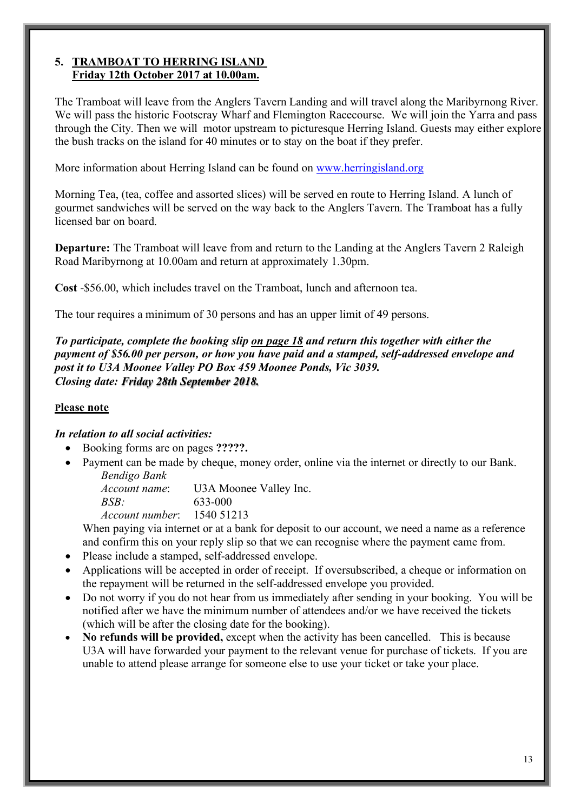### **5. TRAMBOAT TO HERRING ISLAND Friday 12th October 2017 at 10.00am.**

The Tramboat will leave from the Anglers Tavern Landing and will travel along the Maribyrnong River. We will pass the historic Footscray Wharf and Flemington Racecourse. We will join the Yarra and pass through the City. Then we will motor upstream to picturesque Herring Island. Guests may either explore the bush tracks on the island for 40 minutes or to stay on the boat if they prefer.

More information about Herring Island can be found on www.herringisland.org

Morning Tea, (tea, coffee and assorted slices) will be served en route to Herring Island. A lunch of gourmet sandwiches will be served on the way back to the Anglers Tavern. The Tramboat has a fully licensed bar on board.

**Departure:** The Tramboat will leave from and return to the Landing at the Anglers Tavern 2 Raleigh Road Maribyrnong at 10.00am and return at approximately 1.30pm.

**Cost** -\$56.00, which includes travel on the Tramboat, lunch and afternoon tea.

The tour requires a minimum of 30 persons and has an upper limit of 49 persons.

*To participate, complete the booking slip on page 18 and return this together with either the payment of \$56.00 per person, or how you have paid and a stamped, self-addressed envelope and post it to U3A Moonee Valley PO Box 459 Moonee Ponds, Vic 3039. Closing date: Friday 28th September 2018.*

### **Please note**

### *In relation to all social activities:*

- Booking forms are on pages **?????.**
- Payment can be made by cheque, money order, online via the internet or directly to our Bank. *Bendigo Bank*

*Account name*: U3A Moonee Valley Inc. *BSB:* 633-000

*Account number*: 1540 51213

When paying via internet or at a bank for deposit to our account, we need a name as a reference and confirm this on your reply slip so that we can recognise where the payment came from.

- Please include a stamped, self-addressed envelope.
- Applications will be accepted in order of receipt. If oversubscribed, a cheque or information on the repayment will be returned in the self-addressed envelope you provided.
- Do not worry if you do not hear from us immediately after sending in your booking. You will be notified after we have the minimum number of attendees and/or we have received the tickets (which will be after the closing date for the booking).
- **No refunds will be provided,** except when the activity has been cancelled. This is because U3A will have forwarded your payment to the relevant venue for purchase of tickets. If you are unable to attend please arrange for someone else to use your ticket or take your place.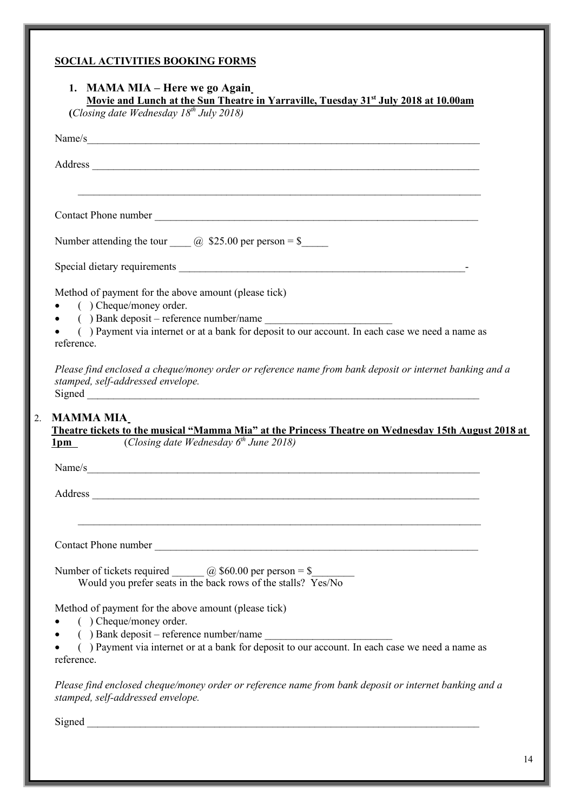### **SOCIAL ACTIVITIES BOOKING FORMS**

|                                | Movie and Lunch at the Sun Theatre in Yarraville, Tuesday $31^{st}$ July 2018 at 10.00am (Closing date Wednesday $18^{th}$ July 2018)                                                                                          |
|--------------------------------|--------------------------------------------------------------------------------------------------------------------------------------------------------------------------------------------------------------------------------|
|                                | Name/s                                                                                                                                                                                                                         |
|                                | Address and the contract of the contract of the contract of the contract of the contract of the contract of the contract of the contract of the contract of the contract of the contract of the contract of the contract of th |
|                                | ,我们也不会有什么。""我们的人,我们也不会有什么?""我们的人,我们也不会有什么?""我们的人,我们也不会有什么?""我们的人,我们也不会有什么?""我们的人                                                                                                                                               |
|                                | Number attending the tour $\qquad \qquad$ \$25.00 per person = \$                                                                                                                                                              |
|                                |                                                                                                                                                                                                                                |
|                                | Method of payment for the above amount (please tick)<br>$\bullet$ ( ) Cheque/money order.                                                                                                                                      |
| reference.                     | () Payment via internet or at a bank for deposit to our account. In each case we need a name as                                                                                                                                |
|                                |                                                                                                                                                                                                                                |
|                                | Theatre tickets to the musical "Mamma Mia" at the Princess Theatre on Wednesday 15th August 2018 at<br><b>1pm</b> ( <i>Closing date Wednesday</i> $6th$ June 2018)                                                             |
|                                | Name/s                                                                                                                                                                                                                         |
|                                | Address and the contract of the contract of the contract of the contract of the contract of the contract of the contract of the contract of the contract of the contract of the contract of the contract of the contract of th |
|                                |                                                                                                                                                                                                                                |
|                                | Number of tickets required $\_\_\_\_$ $@$ \$60.00 per person = \$<br>Would you prefer seats in the back rows of the stalls? Yes/No                                                                                             |
|                                | Method of payment for the above amount (please tick)<br>$($ ) Cheque/money order.                                                                                                                                              |
|                                | () Bank deposit – reference number/name<br>() Payment via internet or at a bank for deposit to our account. In each case we need a name as                                                                                     |
| <b>MAMMA MIA</b><br>reference. | Please find enclosed cheque/money order or reference name from bank deposit or internet banking and a<br>stamped, self-addressed envelope.                                                                                     |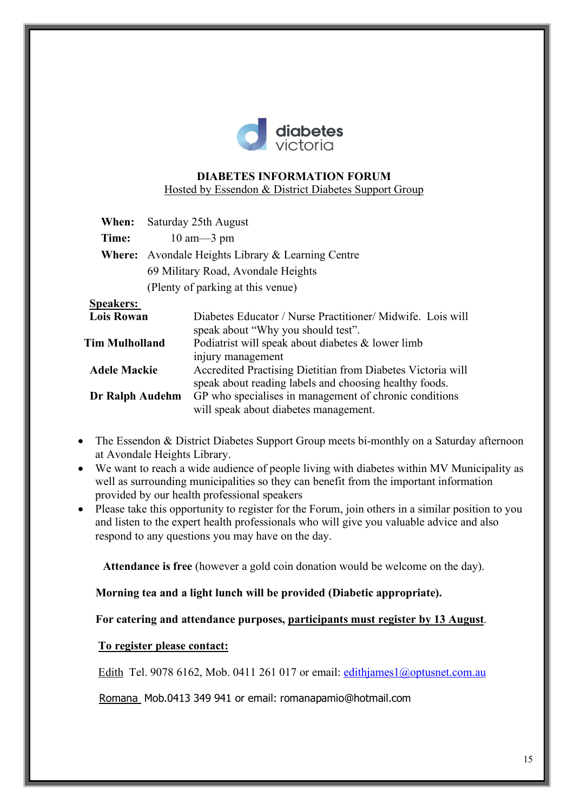

### **DIABETES INFORMATION FORUM**

Hosted by Essendon & District Diabetes Support Group

| When: | Saturday 25th August                                     |
|-------|----------------------------------------------------------|
| Time: | $10 \text{ am} - 3 \text{ pm}$                           |
|       | <b>Where:</b> Avondale Heights Library & Learning Centre |
|       | 69 Military Road, Avondale Heights                       |
|       | (Plenty of parking at this venue)                        |

### **Speakers:**

| Diabetes Educator / Nurse Practitioner/ Midwife. Lois will  |
|-------------------------------------------------------------|
| speak about "Why you should test".                          |
| Podiatrist will speak about diabetes & lower limb           |
| injury management                                           |
| Accredited Practising Dietitian from Diabetes Victoria will |
| speak about reading labels and choosing healthy foods.      |
| GP who specialises in management of chronic conditions      |
| will speak about diabetes management.                       |
|                                                             |

- The Essendon & District Diabetes Support Group meets bi-monthly on a Saturday afternoon at Avondale Heights Library.
- We want to reach a wide audience of people living with diabetes within MV Municipality as well as surrounding municipalities so they can benefit from the important information provided by our health professional speakers
- Please take this opportunity to register for the Forum, join others in a similar position to you and listen to the expert health professionals who will give you valuable advice and also respond to any questions you may have on the day.

**Attendance is free** (however a gold coin donation would be welcome on the day).

 **Morning tea and a light lunch will be provided (Diabetic appropriate).** 

 **For catering and attendance purposes, participants must register by 13 August**.

### **To register please contact:**

Edith Tel. 9078 6162, Mob. 0411 261 017 or email: edithjames1@optusnet.com.au

Romana Mob.0413 349 941 or email: romanapamio@hotmail.com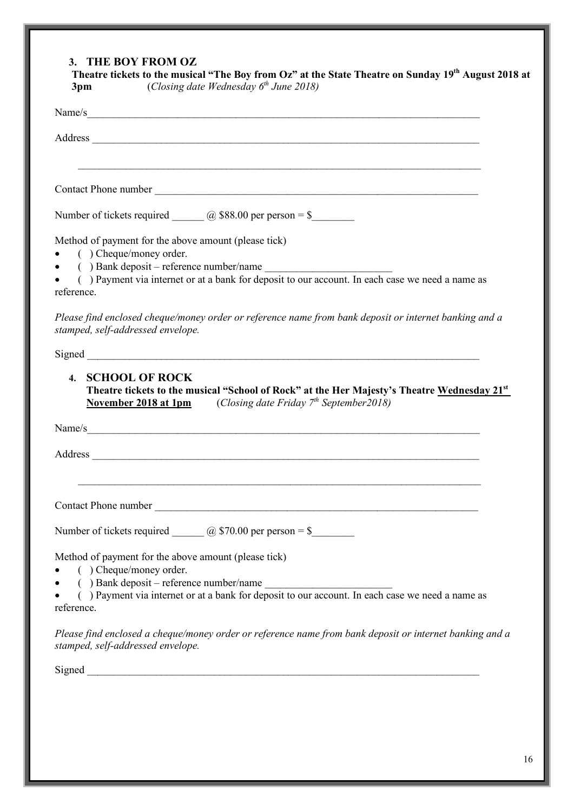### **3. THE BOY FROM OZ**

|            | Name/s_                                                                                                                                                                                                                        |
|------------|--------------------------------------------------------------------------------------------------------------------------------------------------------------------------------------------------------------------------------|
|            | Address and the contract of the contract of the contract of the contract of the contract of the contract of the contract of the contract of the contract of the contract of the contract of the contract of the contract of th |
|            |                                                                                                                                                                                                                                |
|            | Number of tickets required $\qquad \qquad \textcircled{a}$ \$88.00 per person = \$                                                                                                                                             |
|            | Method of payment for the above amount (please tick)<br>$($ ) Cheque/money order.                                                                                                                                              |
| reference. | () Payment via internet or at a bank for deposit to our account. In each case we need a name as                                                                                                                                |
|            | Please find enclosed cheque/money order or reference name from bank deposit or internet banking and a<br>stamped, self-addressed envelope.                                                                                     |
|            |                                                                                                                                                                                                                                |
|            | 4. SCHOOL OF ROCK<br>Theatre tickets to the musical "School of Rock" at the Her Majesty's Theatre Wednesday 21st<br><b>November 2018 at 1pm</b> (Closing date Friday $7th$ September 2018)                                     |
|            | Name/s                                                                                                                                                                                                                         |
|            |                                                                                                                                                                                                                                |
|            |                                                                                                                                                                                                                                |
|            | Number of tickets required $\qquad \qquad \textcircled{a}$ \$70.00 per person = \$                                                                                                                                             |
|            | Method of payment for the above amount (please tick)<br>( ) Cheque/money order.                                                                                                                                                |
| $\bullet$  | () Bank deposit – reference number/name<br>() Payment via internet or at a bank for deposit to our account. In each case we need a name as                                                                                     |
| reference. |                                                                                                                                                                                                                                |
|            | Please find enclosed a cheque/money order or reference name from bank deposit or internet banking and a<br>stamped, self-addressed envelope.                                                                                   |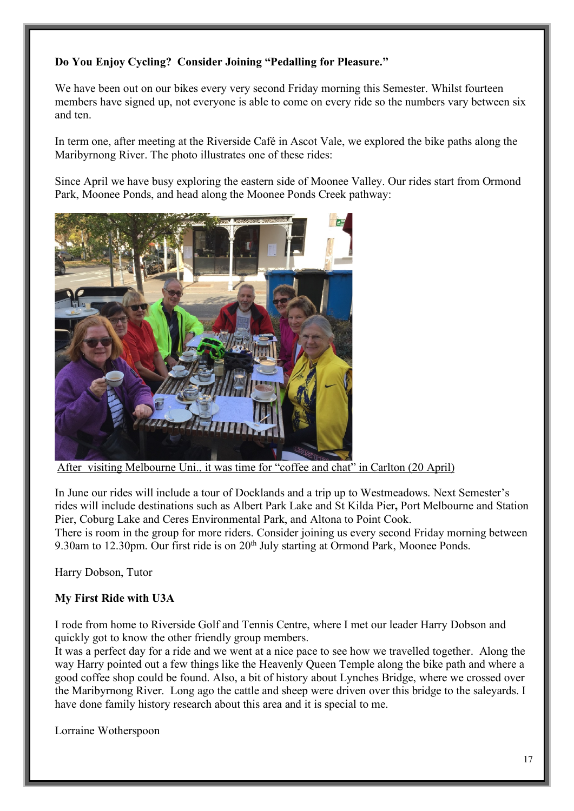### **Do You Enjoy Cycling? Consider Joining "Pedalling for Pleasure."**

We have been out on our bikes every very second Friday morning this Semester. Whilst fourteen members have signed up, not everyone is able to come on every ride so the numbers vary between six and ten.

In term one, after meeting at the Riverside Café in Ascot Vale, we explored the bike paths along the Maribyrnong River. The photo illustrates one of these rides:

Since April we have busy exploring the eastern side of Moonee Valley. Our rides start from Ormond Park, Moonee Ponds, and head along the Moonee Ponds Creek pathway:



After visiting Melbourne Uni., it was time for "coffee and chat" in Carlton (20 April)

In June our rides will include a tour of Docklands and a trip up to Westmeadows. Next Semester's rides will include destinations such as Albert Park Lake and St Kilda Pier**,** Port Melbourne and Station Pier, Coburg Lake and Ceres Environmental Park, and Altona to Point Cook.

There is room in the group for more riders. Consider joining us every second Friday morning between 9.30am to 12.30pm. Our first ride is on 20<sup>th</sup> July starting at Ormond Park, Moonee Ponds.

Harry Dobson, Tutor

### **My First Ride with U3A**

I rode from home to Riverside Golf and Tennis Centre, where I met our leader Harry Dobson and quickly got to know the other friendly group members.

It was a perfect day for a ride and we went at a nice pace to see how we travelled together. Along the way Harry pointed out a few things like the Heavenly Queen Temple along the bike path and where a good coffee shop could be found. Also, a bit of history about Lynches Bridge, where we crossed over the Maribyrnong River. Long ago the cattle and sheep were driven over this bridge to the saleyards. I have done family history research about this area and it is special to me.

Lorraine Wotherspoon